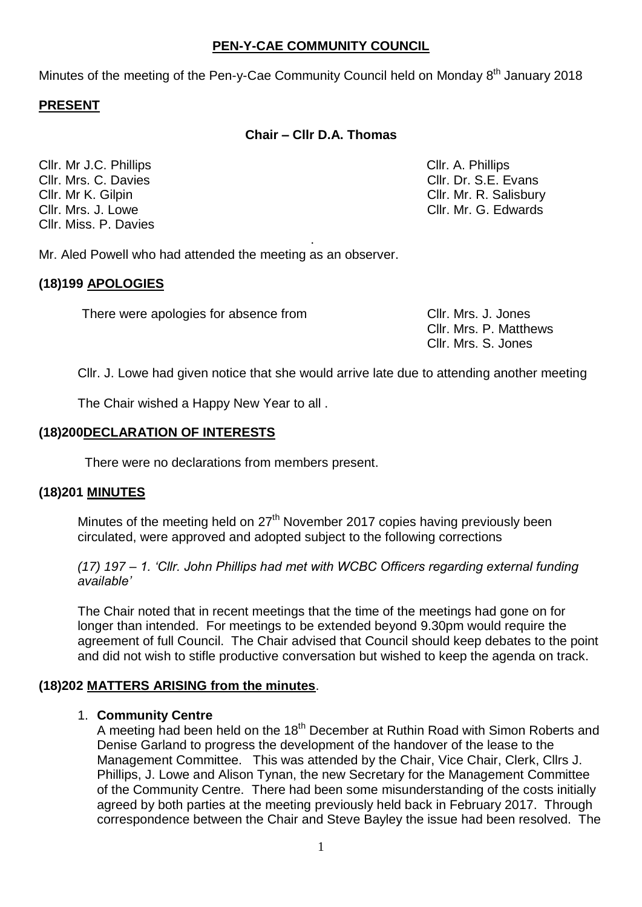## **PEN-Y-CAE COMMUNITY COUNCIL**

Minutes of the meeting of the Pen-y-Cae Community Council held on Monday 8<sup>th</sup> January 2018

## **PRESENT**

## **Chair – Cllr D.A. Thomas**

.

Cllr. Mr J.C. Phillips Cllr. A. Phillips Cllr. Mrs. C. Davies Clientes Clientes Clientes Clientes Clientes Clientes Clientes Clientes Clientes Clientes Cllr. Mrs. J. Lowe Cllr. Mr. G. Edwards Cllr. Miss. P. Davies

Cllr. Mr K. Gilpin Cllr. Mr. R. Salisbury

Mr. Aled Powell who had attended the meeting as an observer.

### **(18)199 APOLOGIES**

There were apologies for absence from There Cllr. Mrs. J. Jones

Cllr. Mrs. P. Matthews Cllr. Mrs. S. Jones

Cllr. J. Lowe had given notice that she would arrive late due to attending another meeting

The Chair wished a Happy New Year to all .

## **(18)200DECLARATION OF INTERESTS**

There were no declarations from members present.

### **(18)201 MINUTES**

Minutes of the meeting held on  $27<sup>th</sup>$  November 2017 copies having previously been circulated, were approved and adopted subject to the following corrections

*(17) 197 – 1. 'Cllr. John Phillips had met with WCBC Officers regarding external funding available'*

The Chair noted that in recent meetings that the time of the meetings had gone on for longer than intended. For meetings to be extended beyond 9.30pm would require the agreement of full Council. The Chair advised that Council should keep debates to the point and did not wish to stifle productive conversation but wished to keep the agenda on track.

### **(18)202 MATTERS ARISING from the minutes**.

### 1. **Community Centre**

A meeting had been held on the 18<sup>th</sup> December at Ruthin Road with Simon Roberts and Denise Garland to progress the development of the handover of the lease to the Management Committee. This was attended by the Chair, Vice Chair, Clerk, Cllrs J. Phillips, J. Lowe and Alison Tynan, the new Secretary for the Management Committee of the Community Centre. There had been some misunderstanding of the costs initially agreed by both parties at the meeting previously held back in February 2017. Through correspondence between the Chair and Steve Bayley the issue had been resolved. The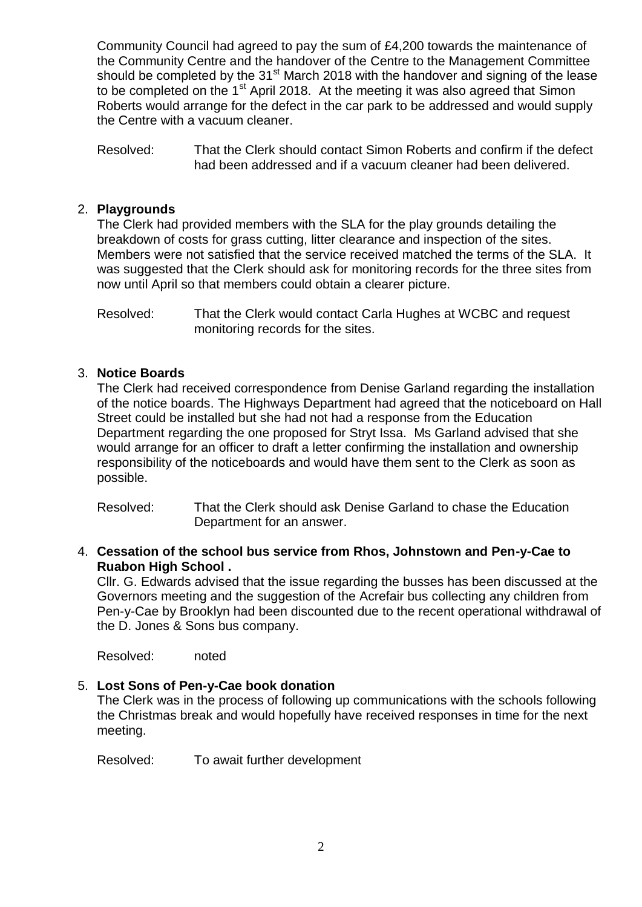Community Council had agreed to pay the sum of £4,200 towards the maintenance of the Community Centre and the handover of the Centre to the Management Committee should be completed by the  $31<sup>st</sup>$  March 2018 with the handover and signing of the lease to be completed on the 1<sup>st</sup> April 2018. At the meeting it was also agreed that Simon Roberts would arrange for the defect in the car park to be addressed and would supply the Centre with a vacuum cleaner.

Resolved: That the Clerk should contact Simon Roberts and confirm if the defect had been addressed and if a vacuum cleaner had been delivered.

### 2. **Playgrounds**

The Clerk had provided members with the SLA for the play grounds detailing the breakdown of costs for grass cutting, litter clearance and inspection of the sites. Members were not satisfied that the service received matched the terms of the SLA. It was suggested that the Clerk should ask for monitoring records for the three sites from now until April so that members could obtain a clearer picture.

Resolved: That the Clerk would contact Carla Hughes at WCBC and request monitoring records for the sites.

## 3. **Notice Boards**

The Clerk had received correspondence from Denise Garland regarding the installation of the notice boards. The Highways Department had agreed that the noticeboard on Hall Street could be installed but she had not had a response from the Education Department regarding the one proposed for Stryt Issa. Ms Garland advised that she would arrange for an officer to draft a letter confirming the installation and ownership responsibility of the noticeboards and would have them sent to the Clerk as soon as possible.

Resolved: That the Clerk should ask Denise Garland to chase the Education Department for an answer.

4. **Cessation of the school bus service from Rhos, Johnstown and Pen-y-Cae to Ruabon High School .**

Cllr. G. Edwards advised that the issue regarding the busses has been discussed at the Governors meeting and the suggestion of the Acrefair bus collecting any children from Pen-y-Cae by Brooklyn had been discounted due to the recent operational withdrawal of the D. Jones & Sons bus company.

Resolved: noted

### 5. **Lost Sons of Pen-y-Cae book donation**

The Clerk was in the process of following up communications with the schools following the Christmas break and would hopefully have received responses in time for the next meeting.

Resolved: To await further development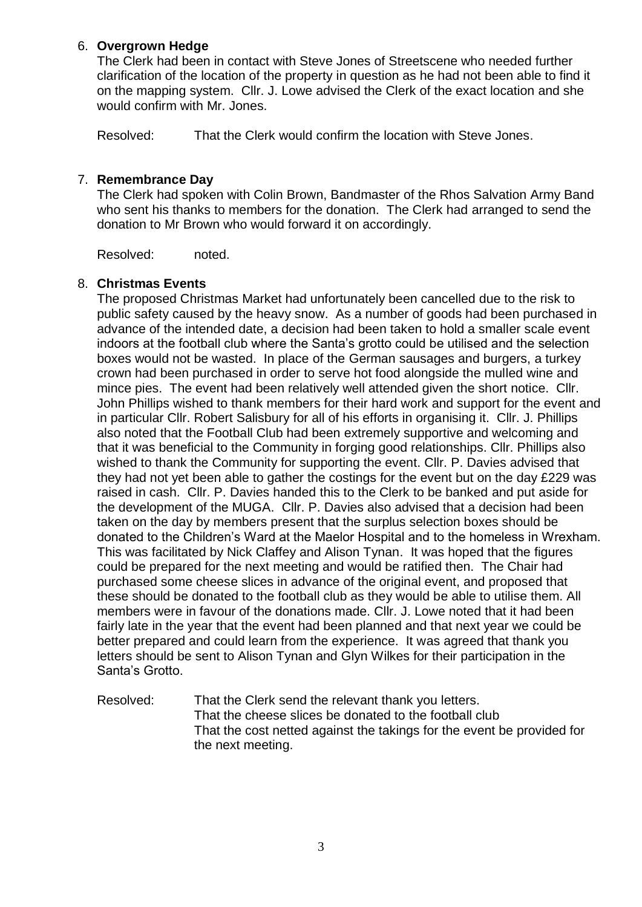## 6. **Overgrown Hedge**

The Clerk had been in contact with Steve Jones of Streetscene who needed further clarification of the location of the property in question as he had not been able to find it on the mapping system. Cllr. J. Lowe advised the Clerk of the exact location and she would confirm with Mr. Jones.

Resolved: That the Clerk would confirm the location with Steve Jones.

## 7. **Remembrance Day**

The Clerk had spoken with Colin Brown, Bandmaster of the Rhos Salvation Army Band who sent his thanks to members for the donation. The Clerk had arranged to send the donation to Mr Brown who would forward it on accordingly.

Resolved: noted.

### 8. **Christmas Events**

The proposed Christmas Market had unfortunately been cancelled due to the risk to public safety caused by the heavy snow. As a number of goods had been purchased in advance of the intended date, a decision had been taken to hold a smaller scale event indoors at the football club where the Santa's grotto could be utilised and the selection boxes would not be wasted. In place of the German sausages and burgers, a turkey crown had been purchased in order to serve hot food alongside the mulled wine and mince pies. The event had been relatively well attended given the short notice. Cllr. John Phillips wished to thank members for their hard work and support for the event and in particular Cllr. Robert Salisbury for all of his efforts in organising it. Cllr. J. Phillips also noted that the Football Club had been extremely supportive and welcoming and that it was beneficial to the Community in forging good relationships. Cllr. Phillips also wished to thank the Community for supporting the event. Cllr. P. Davies advised that they had not yet been able to gather the costings for the event but on the day £229 was raised in cash. Cllr. P. Davies handed this to the Clerk to be banked and put aside for the development of the MUGA. Cllr. P. Davies also advised that a decision had been taken on the day by members present that the surplus selection boxes should be donated to the Children's Ward at the Maelor Hospital and to the homeless in Wrexham. This was facilitated by Nick Claffey and Alison Tynan. It was hoped that the figures could be prepared for the next meeting and would be ratified then. The Chair had purchased some cheese slices in advance of the original event, and proposed that these should be donated to the football club as they would be able to utilise them. All members were in favour of the donations made. Cllr. J. Lowe noted that it had been fairly late in the year that the event had been planned and that next year we could be better prepared and could learn from the experience. It was agreed that thank you letters should be sent to Alison Tynan and Glyn Wilkes for their participation in the Santa's Grotto.

Resolved: That the Clerk send the relevant thank you letters. That the cheese slices be donated to the football club That the cost netted against the takings for the event be provided for the next meeting.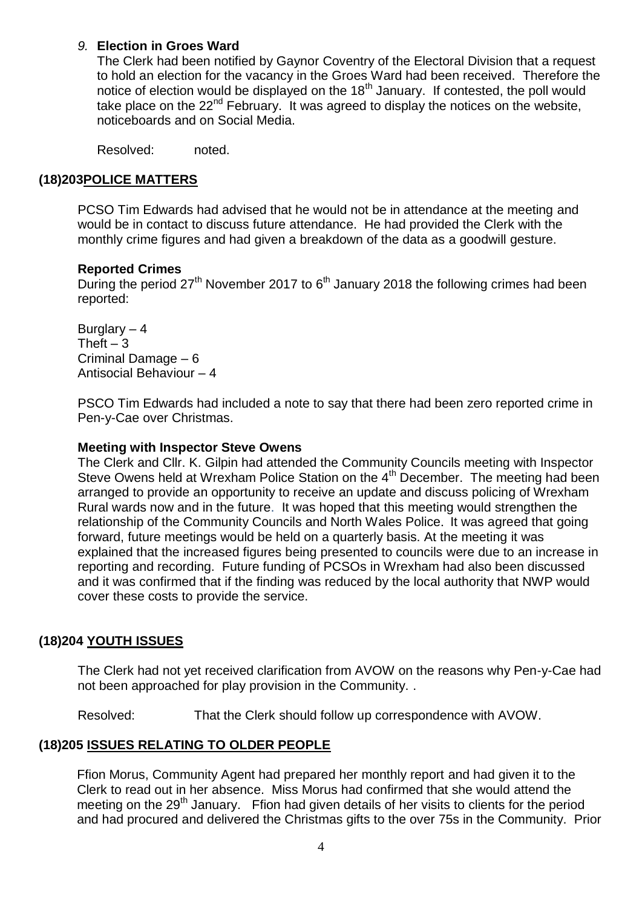## *9.* **Election in Groes Ward**

The Clerk had been notified by Gaynor Coventry of the Electoral Division that a request to hold an election for the vacancy in the Groes Ward had been received. Therefore the notice of election would be displayed on the  $18<sup>th</sup>$  January. If contested, the poll would take place on the 22<sup>nd</sup> February. It was agreed to display the notices on the website, noticeboards and on Social Media.

Resolved: noted.

## **(18)203POLICE MATTERS**

PCSO Tim Edwards had advised that he would not be in attendance at the meeting and would be in contact to discuss future attendance. He had provided the Clerk with the monthly crime figures and had given a breakdown of the data as a goodwill gesture.

### **Reported Crimes**

During the period  $27<sup>th</sup>$  November 2017 to  $6<sup>th</sup>$  January 2018 the following crimes had been reported:

Burglary – 4 Theft  $-3$ Criminal Damage – 6 Antisocial Behaviour – 4

PSCO Tim Edwards had included a note to say that there had been zero reported crime in Pen-y-Cae over Christmas.

#### **Meeting with Inspector Steve Owens**

The Clerk and Cllr. K. Gilpin had attended the Community Councils meeting with Inspector Steve Owens held at Wrexham Police Station on the 4<sup>th</sup> December. The meeting had been arranged to provide an opportunity to receive an update and discuss policing of Wrexham Rural wards now and in the future. It was hoped that this meeting would strengthen the relationship of the Community Councils and North Wales Police. It was agreed that going forward, future meetings would be held on a quarterly basis. At the meeting it was explained that the increased figures being presented to councils were due to an increase in reporting and recording. Future funding of PCSOs in Wrexham had also been discussed and it was confirmed that if the finding was reduced by the local authority that NWP would cover these costs to provide the service.

### **(18)204 YOUTH ISSUES**

The Clerk had not yet received clarification from AVOW on the reasons why Pen-y-Cae had not been approached for play provision in the Community. .

Resolved: That the Clerk should follow up correspondence with AVOW.

### **(18)205 ISSUES RELATING TO OLDER PEOPLE**

Ffion Morus, Community Agent had prepared her monthly report and had given it to the Clerk to read out in her absence. Miss Morus had confirmed that she would attend the meeting on the 29<sup>th</sup> January. Ffion had given details of her visits to clients for the period and had procured and delivered the Christmas gifts to the over 75s in the Community. Prior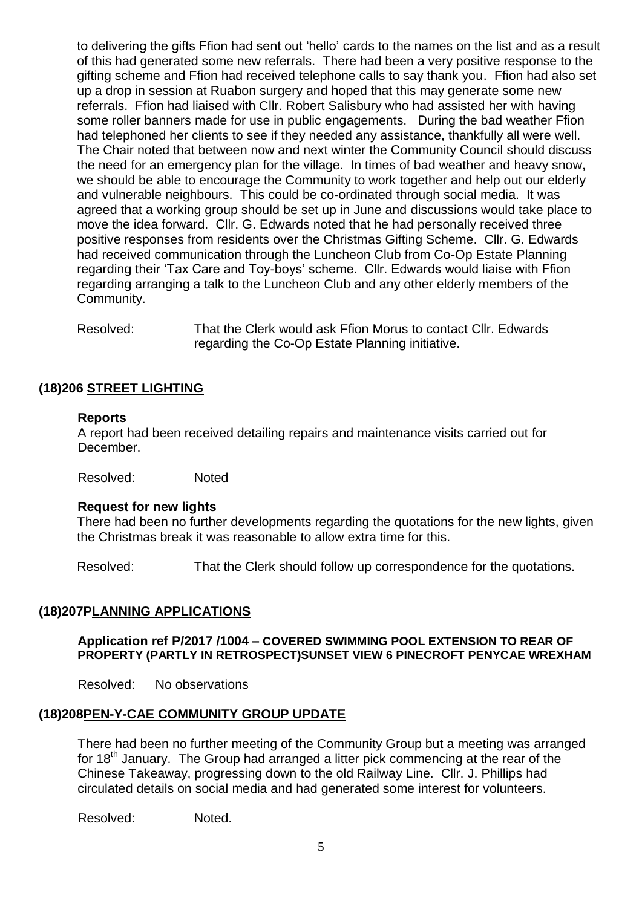to delivering the gifts Ffion had sent out 'hello' cards to the names on the list and as a result of this had generated some new referrals. There had been a very positive response to the gifting scheme and Ffion had received telephone calls to say thank you. Ffion had also set up a drop in session at Ruabon surgery and hoped that this may generate some new referrals. Ffion had liaised with Cllr. Robert Salisbury who had assisted her with having some roller banners made for use in public engagements. During the bad weather Ffion had telephoned her clients to see if they needed any assistance, thankfully all were well. The Chair noted that between now and next winter the Community Council should discuss the need for an emergency plan for the village. In times of bad weather and heavy snow, we should be able to encourage the Community to work together and help out our elderly and vulnerable neighbours. This could be co-ordinated through social media. It was agreed that a working group should be set up in June and discussions would take place to move the idea forward. Cllr. G. Edwards noted that he had personally received three positive responses from residents over the Christmas Gifting Scheme. Cllr. G. Edwards had received communication through the Luncheon Club from Co-Op Estate Planning regarding their 'Tax Care and Toy-boys' scheme. Cllr. Edwards would liaise with Ffion regarding arranging a talk to the Luncheon Club and any other elderly members of the Community.

Resolved: That the Clerk would ask Ffion Morus to contact Cllr. Edwards regarding the Co-Op Estate Planning initiative.

## **(18)206 STREET LIGHTING**

#### **Reports**

A report had been received detailing repairs and maintenance visits carried out for December.

Resolved: Noted

#### **Request for new lights**

There had been no further developments regarding the quotations for the new lights, given the Christmas break it was reasonable to allow extra time for this.

Resolved: That the Clerk should follow up correspondence for the quotations.

### **(18)207PLANNING APPLICATIONS**

#### **Application ref P/2017 /1004 – COVERED SWIMMING POOL EXTENSION TO REAR OF PROPERTY (PARTLY IN RETROSPECT)SUNSET VIEW 6 PINECROFT PENYCAE WREXHAM**

Resolved: No observations

### **(18)208PEN-Y-CAE COMMUNITY GROUP UPDATE**

There had been no further meeting of the Community Group but a meeting was arranged for 18<sup>th</sup> January. The Group had arranged a litter pick commencing at the rear of the Chinese Takeaway, progressing down to the old Railway Line. Cllr. J. Phillips had circulated details on social media and had generated some interest for volunteers.

Resolved: Noted.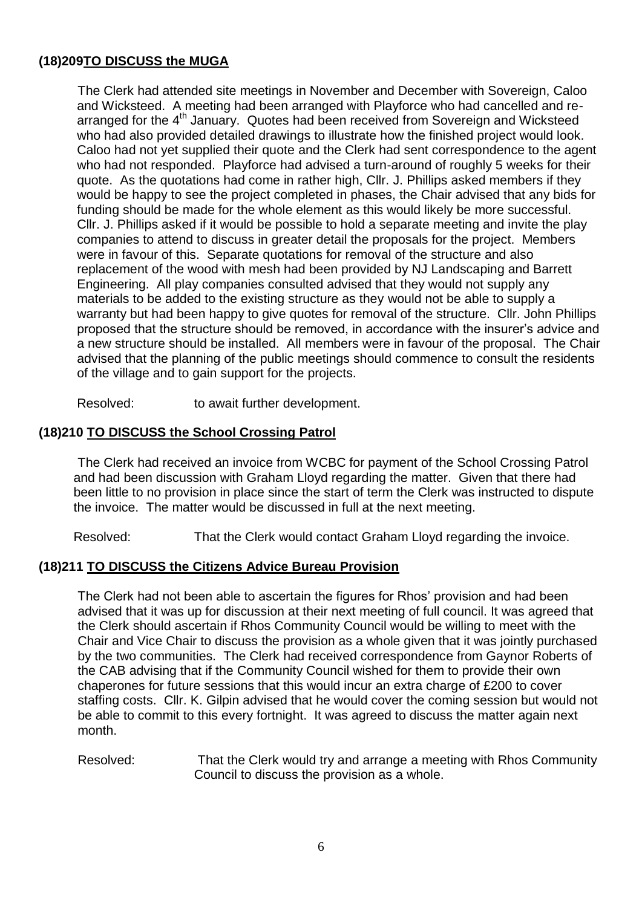# **(18)209TO DISCUSS the MUGA**

The Clerk had attended site meetings in November and December with Sovereign, Caloo and Wicksteed. A meeting had been arranged with Playforce who had cancelled and rearranged for the 4<sup>th</sup> January. Quotes had been received from Sovereign and Wicksteed who had also provided detailed drawings to illustrate how the finished project would look. Caloo had not yet supplied their quote and the Clerk had sent correspondence to the agent who had not responded. Playforce had advised a turn-around of roughly 5 weeks for their quote. As the quotations had come in rather high, Cllr. J. Phillips asked members if they would be happy to see the project completed in phases, the Chair advised that any bids for funding should be made for the whole element as this would likely be more successful. Cllr. J. Phillips asked if it would be possible to hold a separate meeting and invite the play companies to attend to discuss in greater detail the proposals for the project. Members were in favour of this. Separate quotations for removal of the structure and also replacement of the wood with mesh had been provided by NJ Landscaping and Barrett Engineering. All play companies consulted advised that they would not supply any materials to be added to the existing structure as they would not be able to supply a warranty but had been happy to give quotes for removal of the structure. Cllr. John Phillips proposed that the structure should be removed, in accordance with the insurer's advice and a new structure should be installed. All members were in favour of the proposal. The Chair advised that the planning of the public meetings should commence to consult the residents of the village and to gain support for the projects.

Resolved: to await further development.

## **(18)210 TO DISCUSS the School Crossing Patrol**

The Clerk had received an invoice from WCBC for payment of the School Crossing Patrol and had been discussion with Graham Lloyd regarding the matter. Given that there had been little to no provision in place since the start of term the Clerk was instructed to dispute the invoice. The matter would be discussed in full at the next meeting.

Resolved: That the Clerk would contact Graham Lloyd regarding the invoice.

### **(18)211 TO DISCUSS the Citizens Advice Bureau Provision**

The Clerk had not been able to ascertain the figures for Rhos' provision and had been advised that it was up for discussion at their next meeting of full council. It was agreed that the Clerk should ascertain if Rhos Community Council would be willing to meet with the Chair and Vice Chair to discuss the provision as a whole given that it was jointly purchased by the two communities. The Clerk had received correspondence from Gaynor Roberts of the CAB advising that if the Community Council wished for them to provide their own chaperones for future sessions that this would incur an extra charge of £200 to cover staffing costs. Cllr. K. Gilpin advised that he would cover the coming session but would not be able to commit to this every fortnight. It was agreed to discuss the matter again next month.

#### Resolved: That the Clerk would try and arrange a meeting with Rhos Community Council to discuss the provision as a whole.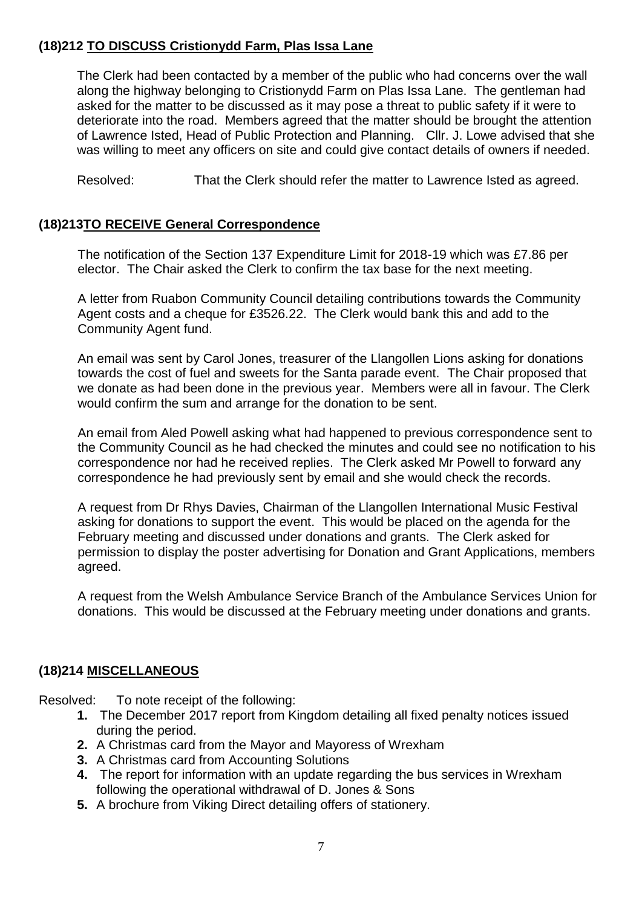# **(18)212 TO DISCUSS Cristionydd Farm, Plas Issa Lane**

The Clerk had been contacted by a member of the public who had concerns over the wall along the highway belonging to Cristionydd Farm on Plas Issa Lane. The gentleman had asked for the matter to be discussed as it may pose a threat to public safety if it were to deteriorate into the road. Members agreed that the matter should be brought the attention of Lawrence Isted, Head of Public Protection and Planning. Cllr. J. Lowe advised that she was willing to meet any officers on site and could give contact details of owners if needed.

Resolved: That the Clerk should refer the matter to Lawrence Isted as agreed.

## **(18)213TO RECEIVE General Correspondence**

The notification of the Section 137 Expenditure Limit for 2018-19 which was £7.86 per elector. The Chair asked the Clerk to confirm the tax base for the next meeting.

A letter from Ruabon Community Council detailing contributions towards the Community Agent costs and a cheque for £3526.22. The Clerk would bank this and add to the Community Agent fund.

An email was sent by Carol Jones, treasurer of the Llangollen Lions asking for donations towards the cost of fuel and sweets for the Santa parade event. The Chair proposed that we donate as had been done in the previous year. Members were all in favour. The Clerk would confirm the sum and arrange for the donation to be sent.

An email from Aled Powell asking what had happened to previous correspondence sent to the Community Council as he had checked the minutes and could see no notification to his correspondence nor had he received replies. The Clerk asked Mr Powell to forward any correspondence he had previously sent by email and she would check the records.

A request from Dr Rhys Davies, Chairman of the Llangollen International Music Festival asking for donations to support the event. This would be placed on the agenda for the February meeting and discussed under donations and grants. The Clerk asked for permission to display the poster advertising for Donation and Grant Applications, members agreed.

A request from the Welsh Ambulance Service Branch of the Ambulance Services Union for donations. This would be discussed at the February meeting under donations and grants.

## **(18)214 MISCELLANEOUS**

Resolved: To note receipt of the following:

- **1.** The December 2017 report from Kingdom detailing all fixed penalty notices issued during the period.
- **2.** A Christmas card from the Mayor and Mayoress of Wrexham
- **3.** A Christmas card from Accounting Solutions
- **4.** The report for information with an update regarding the bus services in Wrexham following the operational withdrawal of D. Jones & Sons
- **5.** A brochure from Viking Direct detailing offers of stationery.